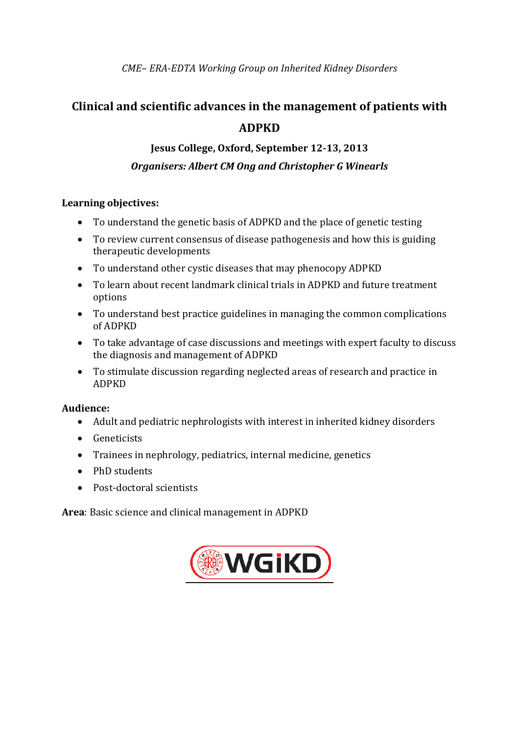# **Clinical and scientific advances in the management of patients with ADPKD**

## **Jesus College, Oxford, September 12-13, 2013** *Organisers: Albert CM Ong and Christopher G Winearls*

## **Learning objectives:**

- To understand the genetic basis of ADPKD and the place of genetic testing
- To review current consensus of disease pathogenesis and how this is guiding therapeutic developments
- To understand other cystic diseases that may phenocopy ADPKD
- To learn about recent landmark clinical trials in ADPKD and future treatment options
- To understand best practice guidelines in managing the common complications of ADPKD
- To take advantage of case discussions and meetings with expert faculty to discuss the diagnosis and management of ADPKD
- To stimulate discussion regarding neglected areas of research and practice in ADPKD

## **Audience:**

- Adult and pediatric nephrologists with interest in inherited kidney disorders
- Geneticists
- Trainees in nephrology, pediatrics, internal medicine, genetics
- PhD students
- Post-doctoral scientists

**Area**: Basic science and clinical management in ADPKD

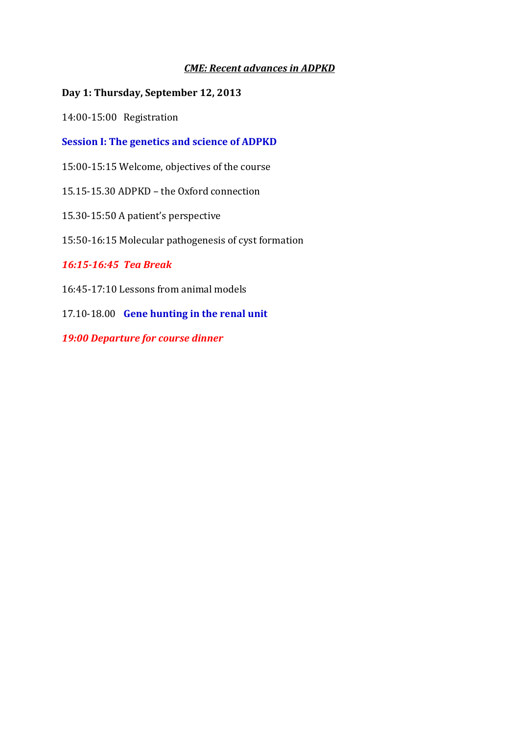## *CME: Recent advances in ADPKD*

## **Day 1: Thursday, September 12, 2013**

14:00-15:00 Registration

**Session I: The genetics and science of ADPKD**

15:00-15:15 Welcome, objectives of the course

15.15-15.30 ADPKD – the Oxford connection

15.30-15:50 A patient's perspective

15:50-16:15 Molecular pathogenesis of cyst formation

## *16:15-16:45 Tea Break*

16:45-17:10 Lessons from animal models

17.10-18.00 **Gene hunting in the renal unit**

*19:00 Departure for course dinner*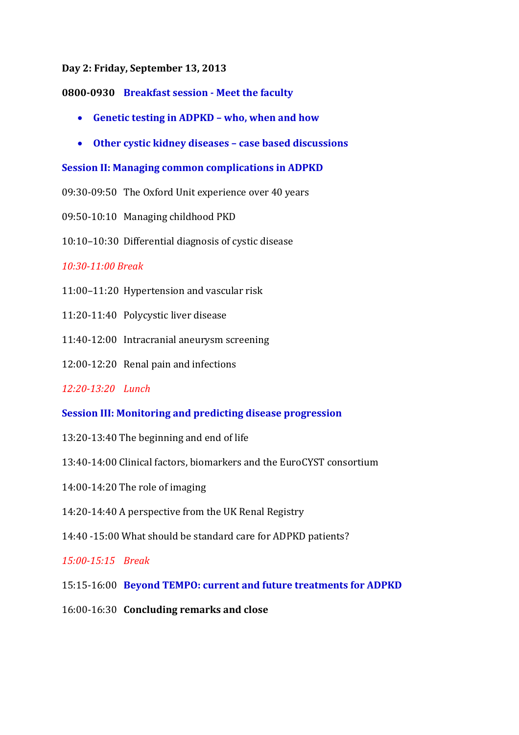#### **Day 2: Friday, September 13, 2013**

### **0800-0930 Breakfast session - Meet the faculty**

- **Genetic testing in ADPKD – who, when and how**
- **Other cystic kidney diseases – case based discussions**

### **Session II: Managing common complications in ADPKD**

- 09:30-09:50 The Oxford Unit experience over 40 years
- 09:50-10:10 Managing childhood PKD
- 10:10–10:30 Differential diagnosis of cystic disease

### *10:30-11:00 Break*

- 11:00–11:20 Hypertension and vascular risk
- 11:20-11:40 Polycystic liver disease
- 11:40-12:00 Intracranial aneurysm screening
- 12:00-12:20 Renal pain and infections

## *12:20-13:20 Lunch*

### **Session III: Monitoring and predicting disease progression**

- 13:20-13:40 The beginning and end of life
- 13:40-14:00 Clinical factors, biomarkers and the EuroCYST consortium
- 14:00-14:20 The role of imaging
- 14:20-14:40 A perspective from the UK Renal Registry
- 14:40 -15:00 What should be standard care for ADPKD patients?

## *15:00-15:15 Break*

- 15:15-16:00 **Beyond TEMPO: current and future treatments for ADPKD**
- 16:00-16:30 **Concluding remarks and close**